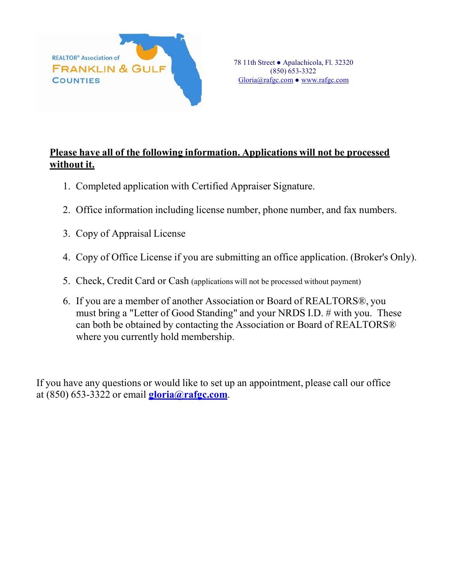

## **Please have all of the following information. Applications will not be processed without it.**

- 1. Completed application with Certified Appraiser Signature.
- 2. Office information including license number, phone number, and fax numbers.
- 3. Copy of Appraisal License
- 4. Copy of Office License if you are submitting an office application. (Broker's Only).
- 5. Check, Credit Card or Cash (applications will not be processed without payment)
- 6. If you are a member of another Association or Board of REALTORS®, you must bring a "Letter of Good Standing" and your NRDS I.D. # with you. These can both be obtained by contacting the Association or Board of REALTORS® where you currently hold membership.

If you have any questions or would like to set up an appointment, please call our office at (850) 653-3322 or email **[gloria@rafgc.com](mailto:gloria@rafgc.com)**.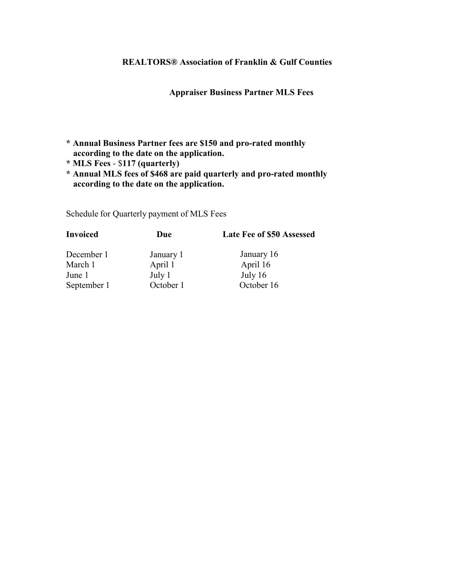## **REALTORS® Association of Franklin & Gulf Counties**

**Appraiser Business Partner MLS Fees**

- **\* Annual Business Partner fees are \$150 and pro-rated monthly according to the date on the application.**
- **\* MLS Fees**  \$**117 (quarterly)**
- **\* Annual MLS fees of \$468 are paid quarterly and pro-rated monthly according to the date on the application.**

Schedule for Quarterly payment of MLS Fees

| <b>Invoiced</b> | Due       | Late Fee of \$50 Assessed |
|-----------------|-----------|---------------------------|
| December 1      | January 1 | January 16                |
| March 1         | April 1   | April 16                  |
| June 1          | July 1    | July $16$                 |
| September 1     | October 1 | October 16                |